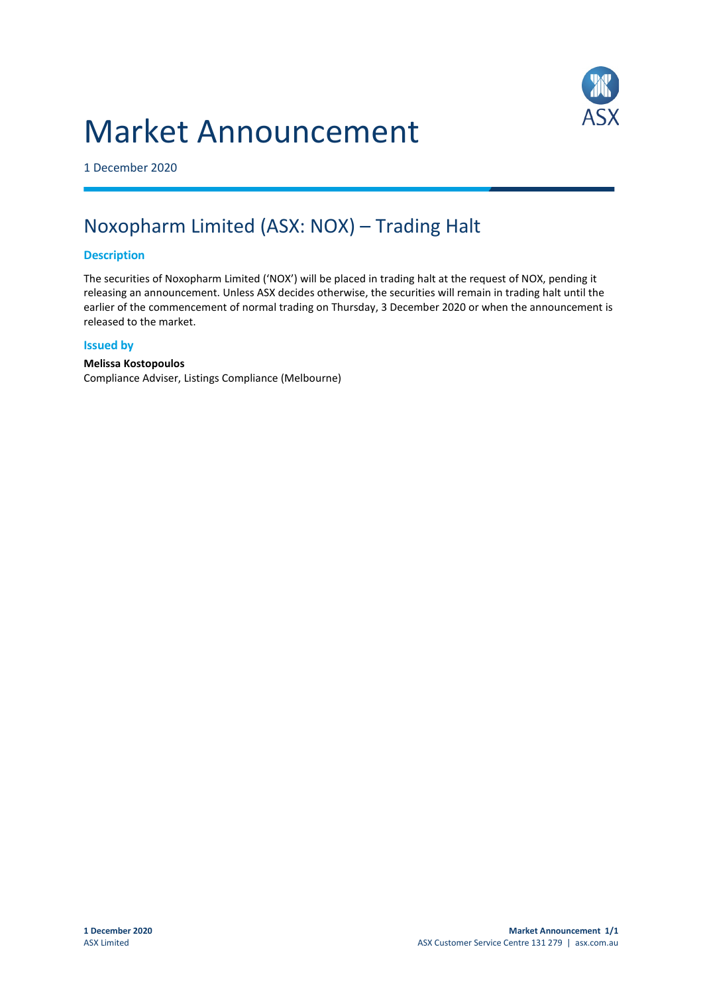# Market Announcement



1 December 2020

## Noxopharm Limited (ASX: NOX) – Trading Halt

## **Description**

The securities of Noxopharm Limited ('NOX') will be placed in trading halt at the request of NOX, pending it releasing an announcement. Unless ASX decides otherwise, the securities will remain in trading halt until the earlier of the commencement of normal trading on Thursday, 3 December 2020 or when the announcement is released to the market.

## **Issued by**

## **Melissa Kostopoulos**

Compliance Adviser, Listings Compliance (Melbourne)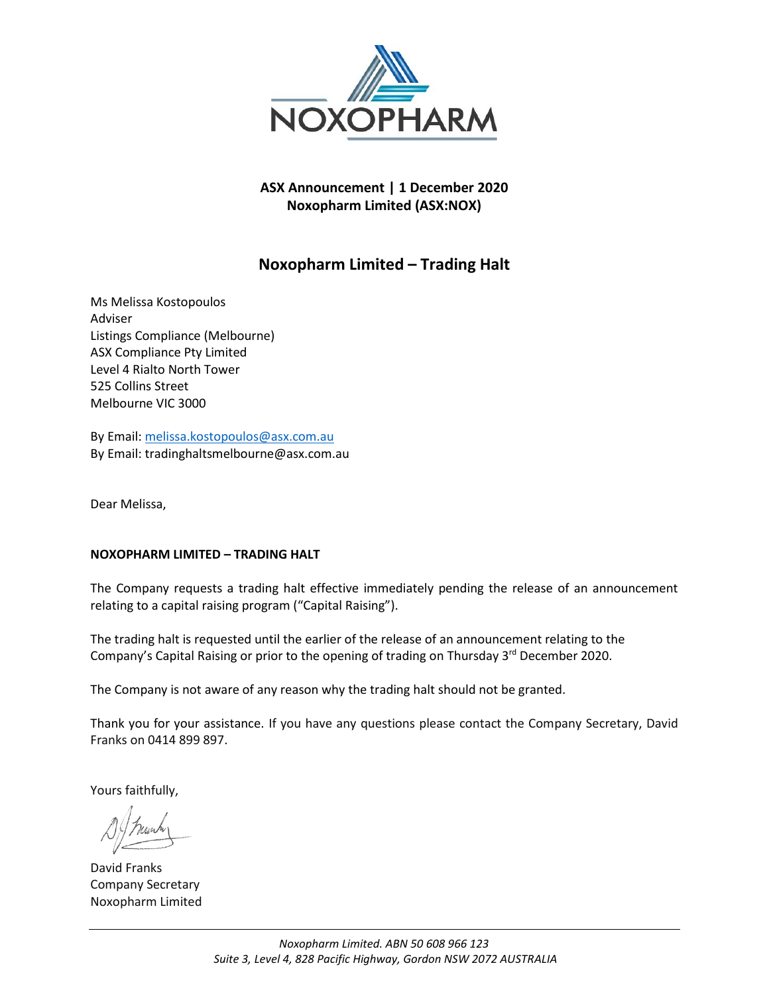

**ASX Announcement | 1 December 2020 Noxopharm Limited (ASX:NOX)**

## **Noxopharm Limited – Trading Halt**

Ms Melissa Kostopoulos Adviser Listings Compliance (Melbourne) ASX Compliance Pty Limited Level 4 Rialto North Tower 525 Collins Street Melbourne VIC 3000

By Email: [melissa.kostopoulos@asx.com.au](mailto:melissa.kostopoulos@asx.com.au) By Email: tradinghaltsmelbourne@asx.com.au

Dear Melissa,

## **NOXOPHARM LIMITED – TRADING HALT**

The Company requests a trading halt effective immediately pending the release of an announcement relating to a capital raising program ("Capital Raising").

The trading halt is requested until the earlier of the release of an announcement relating to the Company's Capital Raising or prior to the opening of trading on Thursday 3<sup>rd</sup> December 2020.

The Company is not aware of any reason why the trading halt should not be granted.

Thank you for your assistance. If you have any questions please contact the Company Secretary, David Franks on 0414 899 897.

Yours faithfully,

David Franks Company Secretary Noxopharm Limited